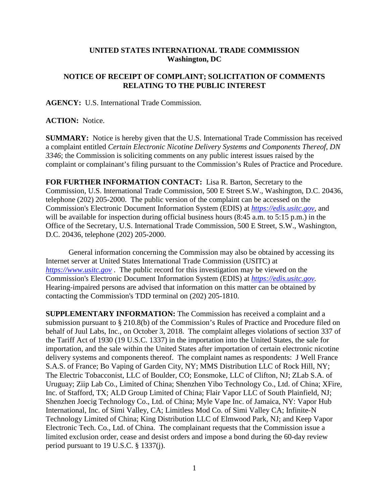## **UNITED STATES INTERNATIONAL TRADE COMMISSION Washington, DC**

## **NOTICE OF RECEIPT OF COMPLAINT; SOLICITATION OF COMMENTS RELATING TO THE PUBLIC INTEREST**

**AGENCY:** U.S. International Trade Commission.

## **ACTION:** Notice.

**SUMMARY:** Notice is hereby given that the U.S. International Trade Commission has received a complaint entitled *Certain Electronic Nicotine Delivery Systems and Components Thereof, DN 3346*; the Commission is soliciting comments on any public interest issues raised by the complaint or complainant's filing pursuant to the Commission's Rules of Practice and Procedure.

**FOR FURTHER INFORMATION CONTACT:** Lisa R. Barton, Secretary to the Commission, U.S. International Trade Commission, 500 E Street S.W., Washington, D.C. 20436, telephone (202) 205-2000. The public version of the complaint can be accessed on the Commission's Electronic Document Information System (EDIS) at *[https://edis.usitc.gov](https://edis.usitc.gov/)*, and will be available for inspection during official business hours (8:45 a.m. to 5:15 p.m.) in the Office of the Secretary, U.S. International Trade Commission, 500 E Street, S.W., Washington, D.C. 20436, telephone (202) 205-2000.

General information concerning the Commission may also be obtained by accessing its Internet server at United States International Trade Commission (USITC) at *[https://www.usitc.gov](https://www.usitc.gov/)* . The public record for this investigation may be viewed on the Commission's Electronic Document Information System (EDIS) at *[https://edis.usitc.gov.](https://edis.usitc.gov/)* Hearing-impaired persons are advised that information on this matter can be obtained by contacting the Commission's TDD terminal on (202) 205-1810.

**SUPPLEMENTARY INFORMATION:** The Commission has received a complaint and a submission pursuant to § 210.8(b) of the Commission's Rules of Practice and Procedure filed on behalf of Juul Labs, Inc., on October 3, 2018. The complaint alleges violations of section 337 of the Tariff Act of 1930 (19 U.S.C. 1337) in the importation into the United States, the sale for importation, and the sale within the United States after importation of certain electronic nicotine delivery systems and components thereof. The complaint names as respondents: J Well France S.A.S. of France; Bo Vaping of Garden City, NY; MMS Distribution LLC of Rock Hill, NY; The Electric Tobacconist, LLC of Boulder, CO; Eonsmoke, LLC of Clifton, NJ; ZLab S.A. of Uruguay; Ziip Lab Co., Limited of China; Shenzhen Yibo Technology Co., Ltd. of China; XFire, Inc. of Stafford, TX; ALD Group Limited of China; Flair Vapor LLC of South Plainfield, NJ; Shenzhen Joecig Technology Co., Ltd. of China; Myle Vape Inc. of Jamaica, NY: Vapor Hub International, Inc. of Simi Valley, CA; Limitless Mod Co. of Simi Valley CA; Infinite-N Technology Limited of China; King Distribution LLC of Elmwood Park, NJ; and Keep Vapor Electronic Tech. Co., Ltd. of China. The complainant requests that the Commission issue a limited exclusion order, cease and desist orders and impose a bond during the 60-day review period pursuant to 19 U.S.C. § 1337(j).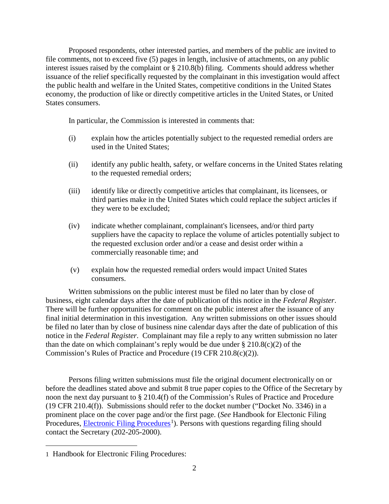Proposed respondents, other interested parties, and members of the public are invited to file comments, not to exceed five (5) pages in length, inclusive of attachments, on any public interest issues raised by the complaint or § 210.8(b) filing. Comments should address whether issuance of the relief specifically requested by the complainant in this investigation would affect the public health and welfare in the United States, competitive conditions in the United States economy, the production of like or directly competitive articles in the United States, or United States consumers.

In particular, the Commission is interested in comments that:

- (i) explain how the articles potentially subject to the requested remedial orders are used in the United States;
- (ii) identify any public health, safety, or welfare concerns in the United States relating to the requested remedial orders;
- (iii) identify like or directly competitive articles that complainant, its licensees, or third parties make in the United States which could replace the subject articles if they were to be excluded;
- (iv) indicate whether complainant, complainant's licensees, and/or third party suppliers have the capacity to replace the volume of articles potentially subject to the requested exclusion order and/or a cease and desist order within a commercially reasonable time; and
- (v) explain how the requested remedial orders would impact United States consumers.

Written submissions on the public interest must be filed no later than by close of business, eight calendar days after the date of publication of this notice in the *Federal Register*. There will be further opportunities for comment on the public interest after the issuance of any final initial determination in this investigation. Any written submissions on other issues should be filed no later than by close of business nine calendar days after the date of publication of this notice in the *Federal Register*. Complainant may file a reply to any written submission no later than the date on which complainant's reply would be due under  $\S 210.8(c)(2)$  of the Commission's Rules of Practice and Procedure (19 CFR 210.8(c)(2)).

Persons filing written submissions must file the original document electronically on or before the deadlines stated above and submit 8 true paper copies to the Office of the Secretary by noon the next day pursuant to § 210.4(f) of the Commission's Rules of Practice and Procedure (19 CFR 210.4(f)). Submissions should refer to the docket number ("Docket No. 3346) in a prominent place on the cover page and/or the first page. (*See* Handbook for Electonic Filing Procedures, **Electronic Filing Procedures**<sup>[1](#page-1-0)</sup>). Persons with questions regarding filing should contact the Secretary (202-205-2000).

 $\overline{a}$ 

<span id="page-1-0"></span><sup>1</sup> Handbook for Electronic Filing Procedures: